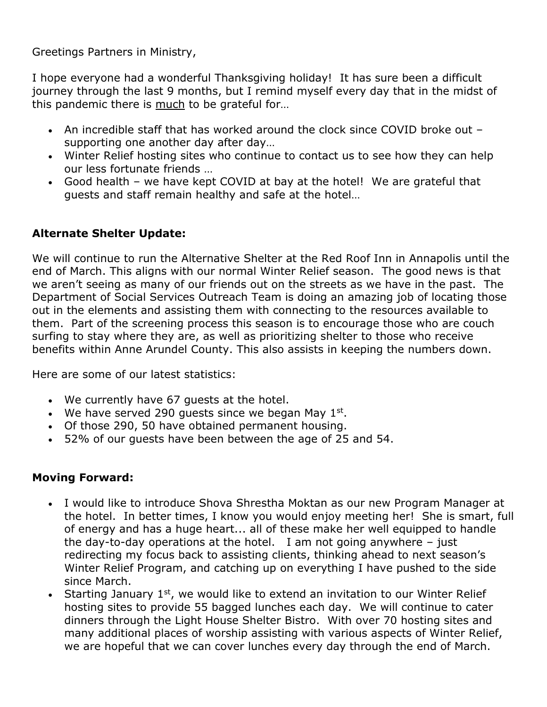Greetings Partners in Ministry,

I hope everyone had a wonderful Thanksgiving holiday! It has sure been a difficult journey through the last 9 months, but I remind myself every day that in the midst of this pandemic there is much to be grateful for…

- An incredible staff that has worked around the clock since COVID broke out supporting one another day after day…
- Winter Relief hosting sites who continue to contact us to see how they can help our less fortunate friends …
- Good health we have kept COVID at bay at the hotel! We are grateful that guests and staff remain healthy and safe at the hotel…

## **Alternate Shelter Update:**

We will continue to run the Alternative Shelter at the Red Roof Inn in Annapolis until the end of March. This aligns with our normal Winter Relief season. The good news is that we aren't seeing as many of our friends out on the streets as we have in the past. The Department of Social Services Outreach Team is doing an amazing job of locating those out in the elements and assisting them with connecting to the resources available to them. Part of the screening process this season is to encourage those who are couch surfing to stay where they are, as well as prioritizing shelter to those who receive benefits within Anne Arundel County. This also assists in keeping the numbers down.

Here are some of our latest statistics:

- We currently have 67 guests at the hotel.
- We have served 290 guests since we began May  $1^{st}$ .
- Of those 290, 50 have obtained permanent housing.
- 52% of our guests have been between the age of 25 and 54.

## **Moving Forward:**

- I would like to introduce Shova Shrestha Moktan as our new Program Manager at the hotel. In better times, I know you would enjoy meeting her! She is smart, full of energy and has a huge heart... all of these make her well equipped to handle the day-to-day operations at the hotel. I am not going anywhere  $-$  just redirecting my focus back to assisting clients, thinking ahead to next season's Winter Relief Program, and catching up on everything I have pushed to the side since March.
- Starting January 1<sup>st</sup>, we would like to extend an invitation to our Winter Relief hosting sites to provide 55 bagged lunches each day. We will continue to cater dinners through the Light House Shelter Bistro. With over 70 hosting sites and many additional places of worship assisting with various aspects of Winter Relief, we are hopeful that we can cover lunches every day through the end of March.